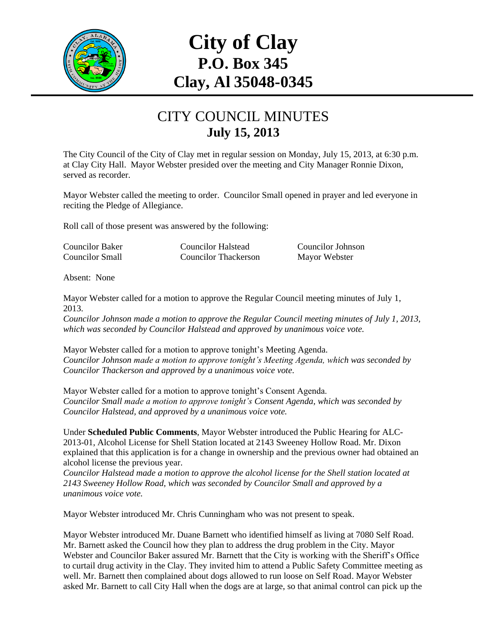

## **City of Clay P.O. Box 345 Clay, Al 35048-0345**

## CITY COUNCIL MINUTES **July 15, 2013**

The City Council of the City of Clay met in regular session on Monday, July 15, 2013, at 6:30 p.m. at Clay City Hall. Mayor Webster presided over the meeting and City Manager Ronnie Dixon, served as recorder.

Mayor Webster called the meeting to order. Councilor Small opened in prayer and led everyone in reciting the Pledge of Allegiance.

Roll call of those present was answered by the following:

Councilor Baker Councilor Halstead Councilor Johnson Councilor Small Councilor Thackerson Mayor Webster

Absent: None

Mayor Webster called for a motion to approve the Regular Council meeting minutes of July 1, 2013.

*Councilor Johnson made a motion to approve the Regular Council meeting minutes of July 1, 2013, which was seconded by Councilor Halstead and approved by unanimous voice vote.*

Mayor Webster called for a motion to approve tonight's Meeting Agenda. *Councilor Johnson made a motion to approve tonight's Meeting Agenda, which was seconded by Councilor Thackerson and approved by a unanimous voice vote.*

Mayor Webster called for a motion to approve tonight's Consent Agenda. *Councilor Small made a motion to approve tonight's Consent Agenda, which was seconded by Councilor Halstead, and approved by a unanimous voice vote.*

Under **Scheduled Public Comments**, Mayor Webster introduced the Public Hearing for ALC-2013-01, Alcohol License for Shell Station located at 2143 Sweeney Hollow Road. Mr. Dixon explained that this application is for a change in ownership and the previous owner had obtained an alcohol license the previous year.

*Councilor Halstead made a motion to approve the alcohol license for the Shell station located at 2143 Sweeney Hollow Road, which was seconded by Councilor Small and approved by a unanimous voice vote.*

Mayor Webster introduced Mr. Chris Cunningham who was not present to speak.

Mayor Webster introduced Mr. Duane Barnett who identified himself as living at 7080 Self Road. Mr. Barnett asked the Council how they plan to address the drug problem in the City. Mayor Webster and Councilor Baker assured Mr. Barnett that the City is working with the Sheriff's Office to curtail drug activity in the Clay. They invited him to attend a Public Safety Committee meeting as well. Mr. Barnett then complained about dogs allowed to run loose on Self Road. Mayor Webster asked Mr. Barnett to call City Hall when the dogs are at large, so that animal control can pick up the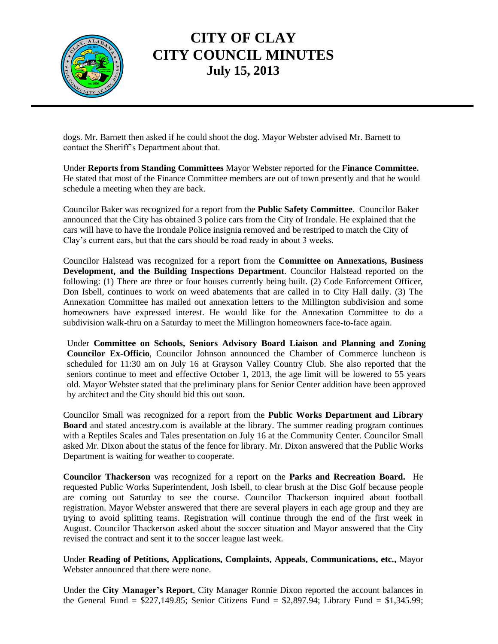

## **CITY OF CLAY CITY COUNCIL MINUTES July 15, 2013**

dogs. Mr. Barnett then asked if he could shoot the dog. Mayor Webster advised Mr. Barnett to contact the Sheriff's Department about that.

Under **Reports from Standing Committees** Mayor Webster reported for the **Finance Committee.** He stated that most of the Finance Committee members are out of town presently and that he would schedule a meeting when they are back.

Councilor Baker was recognized for a report from the **Public Safety Committee**. Councilor Baker announced that the City has obtained 3 police cars from the City of Irondale. He explained that the cars will have to have the Irondale Police insignia removed and be restriped to match the City of Clay's current cars, but that the cars should be road ready in about 3 weeks.

Councilor Halstead was recognized for a report from the **Committee on Annexations, Business Development, and the Building Inspections Department**. Councilor Halstead reported on the following: (1) There are three or four houses currently being built. (2) Code Enforcement Officer, Don Isbell, continues to work on weed abatements that are called in to City Hall daily. (3) The Annexation Committee has mailed out annexation letters to the Millington subdivision and some homeowners have expressed interest. He would like for the Annexation Committee to do a subdivision walk-thru on a Saturday to meet the Millington homeowners face-to-face again.

Under **Committee on Schools, Seniors Advisory Board Liaison and Planning and Zoning Councilor Ex-Officio**, Councilor Johnson announced the Chamber of Commerce luncheon is scheduled for 11:30 am on July 16 at Grayson Valley Country Club. She also reported that the seniors continue to meet and effective October 1, 2013, the age limit will be lowered to 55 years old. Mayor Webster stated that the preliminary plans for Senior Center addition have been approved by architect and the City should bid this out soon.

Councilor Small was recognized for a report from the **Public Works Department and Library Board** and stated ancestry.com is available at the library. The summer reading program continues with a Reptiles Scales and Tales presentation on July 16 at the Community Center. Councilor Small asked Mr. Dixon about the status of the fence for library. Mr. Dixon answered that the Public Works Department is waiting for weather to cooperate.

**Councilor Thackerson** was recognized for a report on the **Parks and Recreation Board.** He requested Public Works Superintendent, Josh Isbell, to clear brush at the Disc Golf because people are coming out Saturday to see the course. Councilor Thackerson inquired about football registration. Mayor Webster answered that there are several players in each age group and they are trying to avoid splitting teams. Registration will continue through the end of the first week in August. Councilor Thackerson asked about the soccer situation and Mayor answered that the City revised the contract and sent it to the soccer league last week.

Under **Reading of Petitions, Applications, Complaints, Appeals, Communications, etc.,** Mayor Webster announced that there were none.

Under the **City Manager's Report**, City Manager Ronnie Dixon reported the account balances in the General Fund =  $$227,149.85$ ; Senior Citizens Fund =  $$2,897.94$ ; Library Fund =  $$1,345.99$ ;